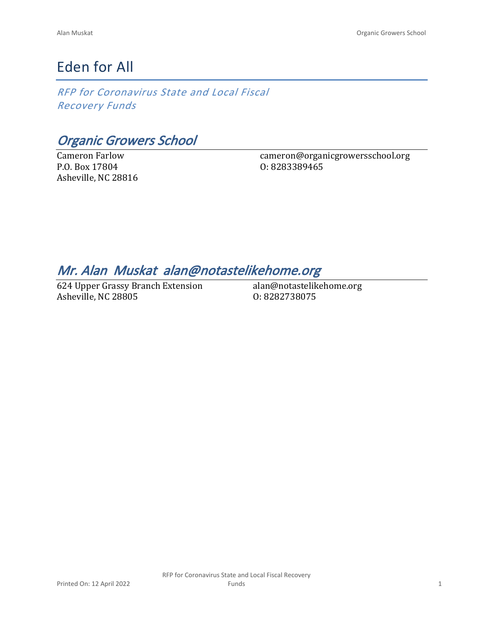# Eden for All

*RFP for Coronavirus State and Local Fiscal Recovery Funds*

*Organic Growers School*

Cameron Farlow P.O. Box 17804 Asheville, NC 28816 cameron@organicgrowersschool.org O: 8283389465

## *Mr. Alan Muskat alan@notastelikehome.org*

624 Upper Grassy Branch Extension Asheville, NC 28805

alan@notastelikehome.org O: 8282738075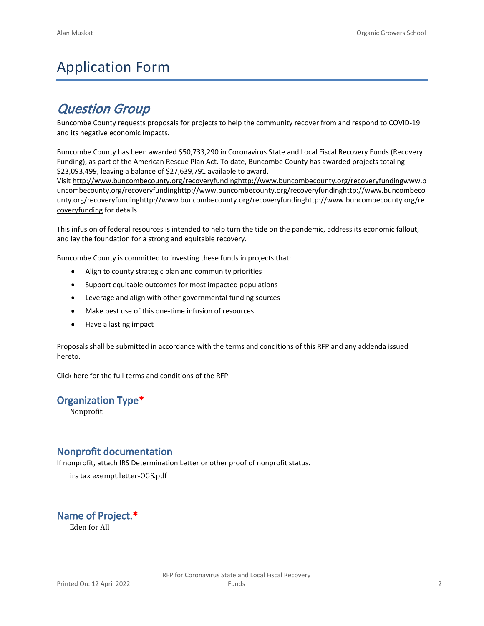# Application Form

## *Question Group*

Buncombe County requests proposals for projects to help the community recover from and respond to COVID-19 and its negative economic impacts.

Buncombe County has been awarded \$50,733,290 in Coronavirus State and Local Fiscal Recovery Funds (Recovery Funding), as part of the American Rescue Plan Act. To date, Buncombe County has awarded projects totaling \$23,093,499, leaving a balance of \$27,639,791 available to award.

Visit [http://www.buncombecounty.org/recoveryfundinghttp://www.buncombecounty.org/recoveryfundingwww.b](http://www.buncombecounty.org/recoveryfunding) [uncombecounty.org/recoveryfundinghttp://www.buncombecounty.org/recoveryfundinghttp://www.buncombeco](http://www.buncombecounty.org/recoveryfunding) [unty.org/recoveryfundinghttp://www.buncombecounty.org/recoveryfundinghttp://www.buncombecounty.org/re](http://www.buncombecounty.org/recoveryfunding) [coveryfunding](http://www.buncombecounty.org/recoveryfunding) for details.

This infusion of federal resources is intended to help turn the tide on the pandemic, address its economic fallout, and lay the foundation for a strong and equitable recovery.

Buncombe County is committed to investing these funds in projects that:

- Align to county strategic plan and community priorities
- Support equitable outcomes for most impacted populations
- Leverage and align with other governmental funding sources
- Make best use of this one-time infusion of resources
- Have a lasting impact

Proposals shall be submitted in accordance with the terms and conditions of this RFP and any addenda issued hereto.

Click [here](https://www.buncombecounty.org/common/purchasing/Buncombe%20Recovery%20Funding%20RFP%202022.pdf) for the full terms and conditions of the RFP

#### **Organization Type\***

Nonprofit

#### **Nonprofit documentation**

If nonprofit, attach IRS Determination Letter or other proof of nonprofit status.

irs tax exempt letter-OGS.pdf

**Name of Project.\***

Eden for All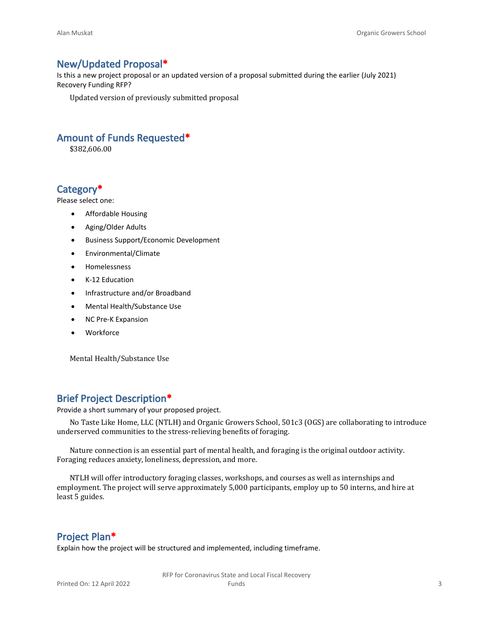#### **New/Updated Proposal\***

Is this a new project proposal or an updated version of a proposal submitted during the earlier (July 2021) Recovery Funding RFP?

Updated version of previously submitted proposal

#### **Amount of Funds Requested\***

\$382,606.00

#### **Category\***

Please select one:

- Affordable Housing
- Aging/Older Adults
- Business Support/Economic Development
- Environmental/Climate
- Homelessness
- K-12 Education
- Infrastructure and/or Broadband
- Mental Health/Substance Use
- NC Pre-K Expansion
- Workforce

Mental Health/Substance Use

#### **Brief Project Description\***

Provide a short summary of your proposed project.

No Taste Like Home, LLC (NTLH) and Organic Growers School, 501c3 (OGS) are collaborating to introduce underserved communities to the stress-relieving benefits of foraging.

Nature connection is an essential part of mental health, and foraging is the original outdoor activity. Foraging reduces anxiety, loneliness, depression, and more.

NTLH will offer introductory foraging classes, workshops, and courses as well as internships and employment. The project will serve approximately 5,000 participants, employ up to 50 interns, and hire at least 5 guides.

#### **Project Plan\***

Explain how the project will be structured and implemented, including timeframe.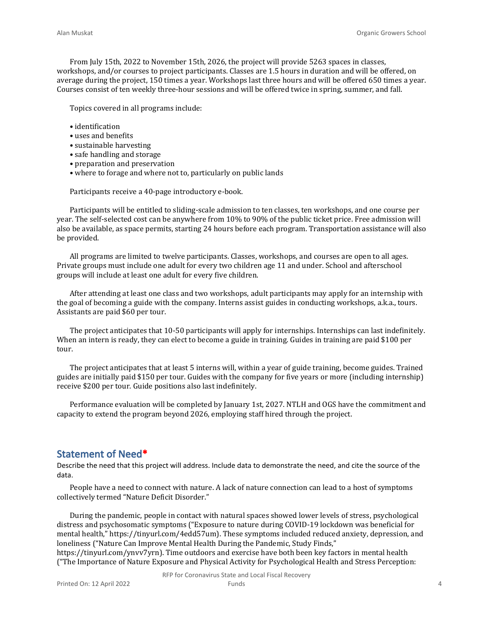From July 15th, 2022 to November 15th, 2026, the project will provide 5263 spaces in classes, workshops, and/or courses to project participants. Classes are 1.5 hours in duration and will be offered, on average during the project, 150 times a year. Workshops last three hours and will be offered 650 times a year. Courses consist of ten weekly three-hour sessions and will be offered twice in spring, summer, and fall.

Topics covered in all programs include:

- identification
- uses and benefits
- sustainable harvesting
- safe handling and storage
- preparation and preservation
- where to forage and where not to, particularly on public lands

Participants receive a 40-page introductory e-book.

Participants will be entitled to sliding-scale admission to ten classes, ten workshops, and one course per year. The self-selected cost can be anywhere from 10% to 90% of the public ticket price. Free admission will also be available, as space permits, starting 24 hours before each program. Transportation assistance will also be provided.

All programs are limited to twelve participants. Classes, workshops, and courses are open to all ages. Private groups must include one adult for every two children age 11 and under. School and afterschool groups will include at least one adult for every five children.

After attending at least one class and two workshops, adult participants may apply for an internship with the goal of becoming a guide with the company. Interns assist guides in conducting workshops, a.k.a., tours. Assistants are paid \$60 per tour.

The project anticipates that 10-50 participants will apply for internships. Internships can last indefinitely. When an intern is ready, they can elect to become a guide in training. Guides in training are paid \$100 per tour.

The project anticipates that at least 5 interns will, within a year of guide training, become guides. Trained guides are initially paid \$150 per tour. Guides with the company for five years or more (including internship) receive \$200 per tour. Guide positions also last indefinitely.

Performance evaluation will be completed by January 1st, 2027. NTLH and OGS have the commitment and capacity to extend the program beyond 2026, employing staff hired through the project.

#### **Statement of Need\***

Describe the need that this project will address. Include data to demonstrate the need, and cite the source of the data.

People have a need to connect with nature. A lack of nature connection can lead to a host of symptoms collectively termed "Nature Deficit Disorder."

During the pandemic, people in contact with natural spaces showed lower levels of stress, psychological distress and psychosomatic symptoms ("Exposure to nature during COVID-19 lockdown was beneficial for mental health," https://tinyurl.com/4edd57um). These symptoms included reduced anxiety, depression, and loneliness ("Nature Can Improve Mental Health During the Pandemic, Study Finds,"

https://tinyurl.com/ynvv7yrn). Time outdoors and exercise have both been key factors in mental health ("The Importance of Nature Exposure and Physical Activity for Psychological Health and Stress Perception: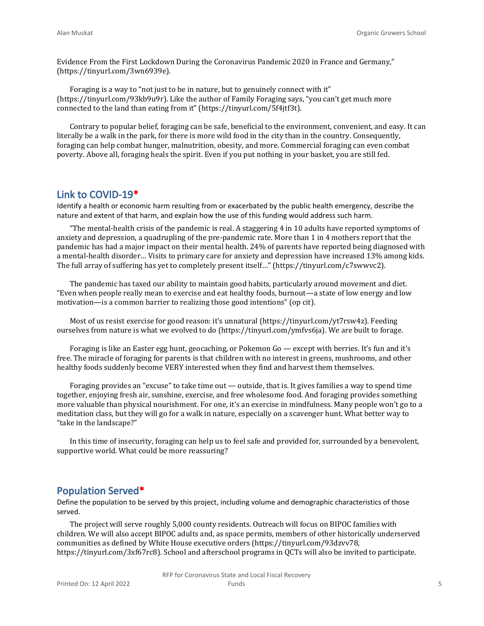Evidence From the First Lockdown During the Coronavirus Pandemic 2020 in France and Germany," (https://tinyurl.com/3wn6939e).

Foraging is a way to "not just to be in nature, but to genuinely connect with it" (https://tinyurl.com/93kb9u9r). Like the author of Family Foraging says, "you can't get much more connected to the land than eating from it" (https://tinyurl.com/5f4jtf3t).

Contrary to popular belief, foraging can be safe, beneficial to the environment, convenient, and easy. It can literally be a walk in the park, for there is more wild food in the city than in the country. Consequently, foraging can help combat hunger, malnutrition, obesity, and more. Commercial foraging can even combat poverty. Above all, foraging heals the spirit. Even if you put nothing in your basket, you are still fed.

#### **Link to COVID-19\***

Identify a health or economic harm resulting from or exacerbated by the public health emergency, describe the nature and extent of that harm, and explain how the use of this funding would address such harm.

"The mental-health crisis of the pandemic is real. A staggering 4 in 10 adults have reported symptoms of anxiety and depression, a quadrupling of the pre-pandemic rate. More than 1 in 4 mothers report that the pandemic has had a major impact on their mental health. 24% of parents have reported being diagnosed with a mental-health disorder… Visits to primary care for anxiety and depression have increased 13% among kids. The full array of suffering has yet to completely present itself…" (https://tinyurl.com/c7swwvc2).

The pandemic has taxed our ability to maintain good habits, particularly around movement and diet. "Even when people really mean to exercise and eat healthy foods, burnout—a state of low energy and low motivation—is a common barrier to realizing those good intentions" (op cit).

Most of us resist exercise for good reason: it's unnatural (https://tinyurl.com/yt7rsw4z). Feeding ourselves from nature is what we evolved to do (https://tinyurl.com/ymfvs6ja). We are built to forage.

Foraging is like an Easter egg hunt, geocaching, or Pokemon Go — except with berries. It's fun and it's free. The miracle of foraging for parents is that children with no interest in greens, mushrooms, and other healthy foods suddenly become VERY interested when they find and harvest them themselves.

Foraging provides an "excuse" to take time out  $-$  outside, that is. It gives families a way to spend time together, enjoying fresh air, sunshine, exercise, and free wholesome food. And foraging provides something more valuable than physical nourishment. For one, it's an exercise in mindfulness. Many people won't go to a meditation class, but they will go for a walk in nature, especially on a scavenger hunt. What better way to "take in the landscape?"

In this time of insecurity, foraging can help us to feel safe and provided for, surrounded by a benevolent, supportive world. What could be more reassuring?

#### **Population Served\***

Define the population to be served by this project, including volume and demographic characteristics of those served.

The project will serve roughly 5,000 county residents. Outreach will focus on BIPOC families with children. We will also accept BIPOC adults and, as space permits, members of other historically underserved communities as defined by White House executive orders (https://tinyurl.com/93dzvv78, https://tinyurl.com/3xf67rc8). School and afterschool programs in QCTs will also be invited to participate.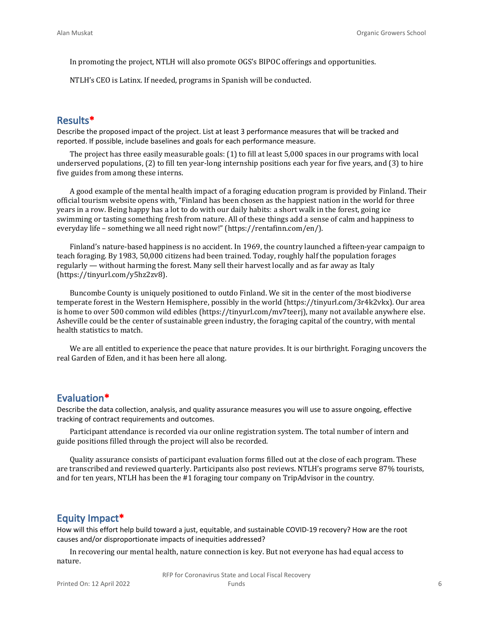In promoting the project, NTLH will also promote OGS's BIPOC offerings and opportunities.

NTLH's CEO is Latinx. If needed, programs in Spanish will be conducted.

#### **Results\***

Describe the proposed impact of the project. List at least 3 performance measures that will be tracked and reported. If possible, include baselines and goals for each performance measure.

The project has three easily measurable goals: (1) to fill at least 5,000 spaces in our programs with local underserved populations, (2) to fill ten year-long internship positions each year for five years, and (3) to hire five guides from among these interns.

A good example of the mental health impact of a foraging education program is provided by Finland. Their official tourism website opens with, "Finland has been chosen as the happiest nation in the world for three years in a row. Being happy has a lot to do with our daily habits: a short walk in the forest, going ice swimming or tasting something fresh from nature. All of these things add a sense of calm and happiness to everyday life – something we all need right now!" (https://rentafinn.com/en/).

Finland's nature-based happiness is no accident. In 1969, the country launched a fifteen-year campaign to teach foraging. By 1983, 50,000 citizens had been trained. Today, roughly half the population forages regularly — without harming the forest. Many sell their harvest locally and as far away as Italy (https://tinyurl.com/y5hz2zv8).

Buncombe County is uniquely positioned to outdo Finland. We sit in the center of the most biodiverse temperate forest in the Western Hemisphere, possibly in the world (https://tinyurl.com/3r4k2vkx). Our area is home to over 500 common wild edibles (https://tinyurl.com/mv7teerj), many not available anywhere else. Asheville could be the center of sustainable green industry, the foraging capital of the country, with mental health statistics to match.

We are all entitled to experience the peace that nature provides. It is our birthright. Foraging uncovers the real Garden of Eden, and it has been here all along.

#### **Evaluation\***

Describe the data collection, analysis, and quality assurance measures you will use to assure ongoing, effective tracking of contract requirements and outcomes.

Participant attendance is recorded via our online registration system. The total number of intern and guide positions filled through the project will also be recorded.

Quality assurance consists of participant evaluation forms filled out at the close of each program. These are transcribed and reviewed quarterly. Participants also post reviews. NTLH's programs serve 87% tourists, and for ten years, NTLH has been the #1 foraging tour company on TripAdvisor in the country.

#### **Equity Impact\***

How will this effort help build toward a just, equitable, and sustainable COVID-19 recovery? How are the root causes and/or disproportionate impacts of inequities addressed?

In recovering our mental health, nature connection is key. But not everyone has had equal access to nature.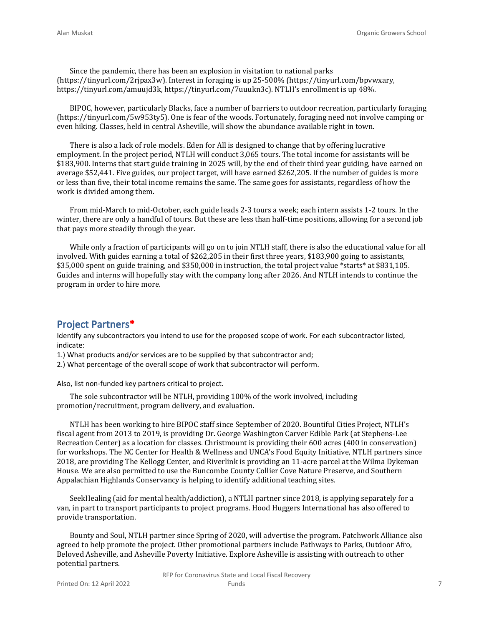Since the pandemic, there has been an explosion in visitation to national parks (https://tinyurl.com/2rjpax3w). Interest in foraging is up 25-500% (https://tinyurl.com/bpvwxary, https://tinyurl.com/amuujd3k, https://tinyurl.com/7uuukn3c). NTLH's enrollment is up 48%.

BIPOC, however, particularly Blacks, face a number of barriers to outdoor recreation, particularly foraging (https://tinyurl.com/5w953ty5). One is fear of the woods. Fortunately, foraging need not involve camping or even hiking. Classes, held in central Asheville, will show the abundance available right in town.

There is also a lack of role models. Eden for All is designed to change that by offering lucrative employment. In the project period, NTLH will conduct 3,065 tours. The total income for assistants will be \$183,900. Interns that start guide training in 2025 will, by the end of their third year guiding, have earned on average \$52,441. Five guides, our project target, will have earned \$262,205. If the number of guides is more or less than five, their total income remains the same. The same goes for assistants, regardless of how the work is divided among them.

From mid-March to mid-October, each guide leads 2-3 tours a week; each intern assists 1-2 tours. In the winter, there are only a handful of tours. But these are less than half-time positions, allowing for a second job that pays more steadily through the year.

While only a fraction of participants will go on to join NTLH staff, there is also the educational value for all involved. With guides earning a total of \$262,205 in their first three years, \$183,900 going to assistants, \$35,000 spent on guide training, and \$350,000 in instruction, the total project value \*starts\* at \$831,105. Guides and interns will hopefully stay with the company long after 2026. And NTLH intends to continue the program in order to hire more.

#### **Project Partners\***

Identify any subcontractors you intend to use for the proposed scope of work. For each subcontractor listed, indicate:

1.) What products and/or services are to be supplied by that subcontractor and;

2.) What percentage of the overall scope of work that subcontractor will perform.

Also, list non-funded key partners critical to project.

The sole subcontractor will be NTLH, providing 100% of the work involved, including promotion/recruitment, program delivery, and evaluation.

NTLH has been working to hire BIPOC staff since September of 2020. Bountiful Cities Project, NTLH's fiscal agent from 2013 to 2019, is providing Dr. George Washington Carver Edible Park (at Stephens-Lee Recreation Center) as a location for classes. Christmount is providing their 600 acres (400 in conservation) for workshops. The NC Center for Health & Wellness and UNCA's Food Equity Initiative, NTLH partners since 2018, are providing The Kellogg Center, and Riverlink is providing an 11-acre parcel at the Wilma Dykeman House. We are also permitted to use the Buncombe County Collier Cove Nature Preserve, and Southern Appalachian Highlands Conservancy is helping to identify additional teaching sites.

SeekHealing (aid for mental health/addiction), a NTLH partner since 2018, is applying separately for a van, in part to transport participants to project programs. Hood Huggers International has also offered to provide transportation.

Bounty and Soul, NTLH partner since Spring of 2020, will advertise the program. Patchwork Alliance also agreed to help promote the project. Other promotional partners include Pathways to Parks, Outdoor Afro, Beloved Asheville, and Asheville Poverty Initiative. Explore Asheville is assisting with outreach to other potential partners.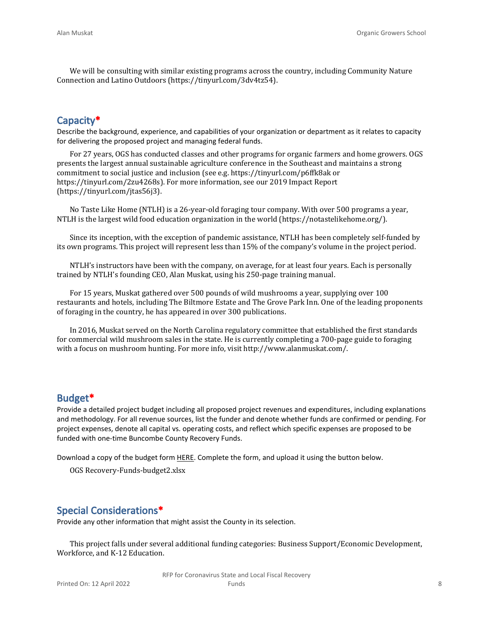We will be consulting with similar existing programs across the country, including Community Nature Connection and Latino Outdoors (https://tinyurl.com/3dv4tz54).

### **Capacity\***

Describe the background, experience, and capabilities of your organization or department as it relates to capacity for delivering the proposed project and managing federal funds.

For 27 years, OGS has conducted classes and other programs for organic farmers and home growers. OGS presents the largest annual sustainable agriculture conference in the Southeast and maintains a strong commitment to social justice and inclusion (see e.g. https://tinyurl.com/p6ffk8ak or https://tinyurl.com/2zu4268s). For more information, see our 2019 Impact Report (https://tinyurl.com/jtas56j3).

No Taste Like Home (NTLH) is a 26-year-old foraging tour company. With over 500 programs a year, NTLH is the largest wild food education organization in the world (https://notastelikehome.org/).

Since its inception, with the exception of pandemic assistance, NTLH has been completely self-funded by its own programs. This project will represent less than 15% of the company's volume in the project period.

NTLH's instructors have been with the company, on average, for at least four years. Each is personally trained by NTLH's founding CEO, Alan Muskat, using his 250-page training manual.

For 15 years, Muskat gathered over 500 pounds of wild mushrooms a year, supplying over 100 restaurants and hotels, including The Biltmore Estate and The Grove Park Inn. One of the leading proponents of foraging in the country, he has appeared in over 300 publications.

In 2016, Muskat served on the North Carolina regulatory committee that established the first standards for commercial wild mushroom sales in the state. He is currently completing a 700-page guide to foraging with a focus on mushroom hunting. For more info, visit http://www.alanmuskat.com/.

#### **Budget\***

Provide a detailed project budget including all proposed project revenues and expenditures, including explanations and methodology. For all revenue sources, list the funder and denote whether funds are confirmed or pending. For project expenses, denote all capital vs. operating costs, and reflect which specific expenses are proposed to be funded with one-time Buncombe County Recovery Funds.

Download a copy of the budget form [HERE](https://buncombecounty.org/common/community-investment/grants/early-childhood-education/Recovery-Funds-budget-template.xlsx). Complete the form, and upload it using the button below.

OGS Recovery-Funds-budget2.xlsx

#### **Special Considerations\***

Provide any other information that might assist the County in its selection.

This project falls under several additional funding categories: Business Support/Economic Development, Workforce, and K-12 Education.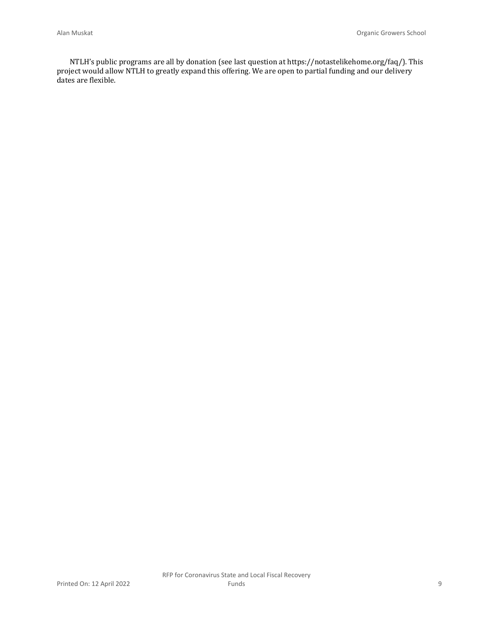NTLH's public programs are all by donation (see last question at https://notastelikehome.org/faq/). This project would allow NTLH to greatly expand this offering. We are open to partial funding and our delivery dates are flexible.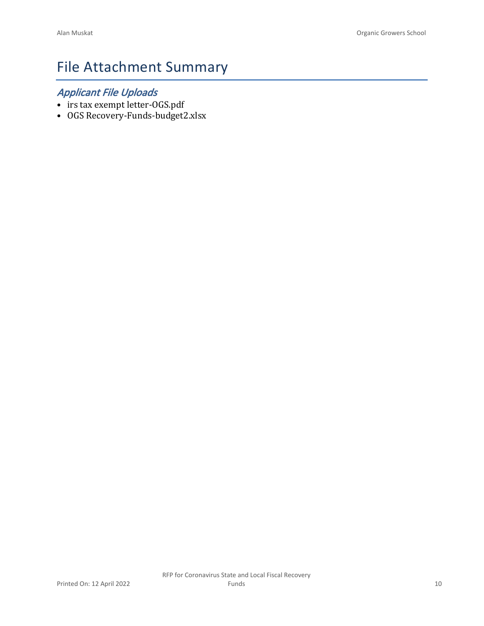# File Attachment Summary

### *Applicant File Uploads*

- irs tax exempt letter-OGS.pdf
- OGS Recovery-Funds-budget2.xlsx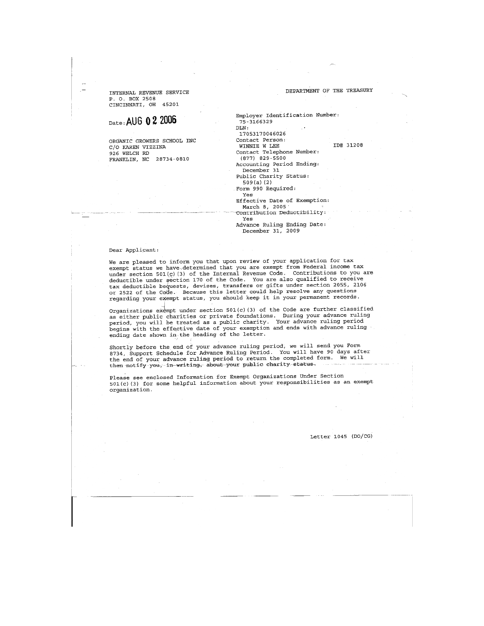INTERNAL REVENUE SERVICE

#### DEPARTMENT OF THE TREASURY

P. O. BOX 2508 CINCINNATI, OH 45201

#### Date: AUG 0 2 2006

ORGANIC GROWERS SCHOOL INC C/O KAREN VIZZINA 926 WELCH RD FRANKLIN, NC 28734-0810

Employer Identification Number:  $75 - 3166329$  $_{\rm DLN}$  : 17053170046026 Contact Person: ID# 31208 WINNIE W LEE Contact Telephone Number:  $(877)$  829-5500 Accounting Period Ending:<br>December 31 Public Charity Status:  $509(a)$  (2) Form 990 Required: Yes Effective Date of Exemption:

March 8, 2005 . Contribution Deductibility: Yes

Advance Ruling Ending Date: December 31, 2009

#### Dear Applicant:

We are pleased to inform you that upon review of your application for tax exempt status we have determined that you are exempt from Federal income tax under section 501(c)(3) of the Internal Revenue Code. Contributions to you are deductible under section 170 of the Code. You are also qualified to receive contract the bequests, devises, transfers or gifts under section 2055, 2106<br>or 2522 of the Code. Because this letter could help resolve any questions regarding your exempt status, you should keep it in your permanent records.

Organizations exempt under section 501(c)(3) of the Code are further classified as either public charities or private foundations. During your advance ruling as transmitted as a public charity. Your advance ruling period<br>period, you will be treated as a public charity. Your advance ruling period<br>begins with the effective date of your exemption and ends with advance ruling ending date shown in the heading of the letter.

Shortly before the end of your advance ruling period, we will send you Form 8734, Support Schedule for Advance Ruling Period. You will have 90 days after the end of your advance ruling period to return the completed form. We will then notify you, in writing, about your public charity status.

Please see enclosed Information for Exempt Organizations Under Section  $501(c)$  (3) for some helpful information about your responsibilities as an exempt organization.

Letter 1045 (DO/CG)